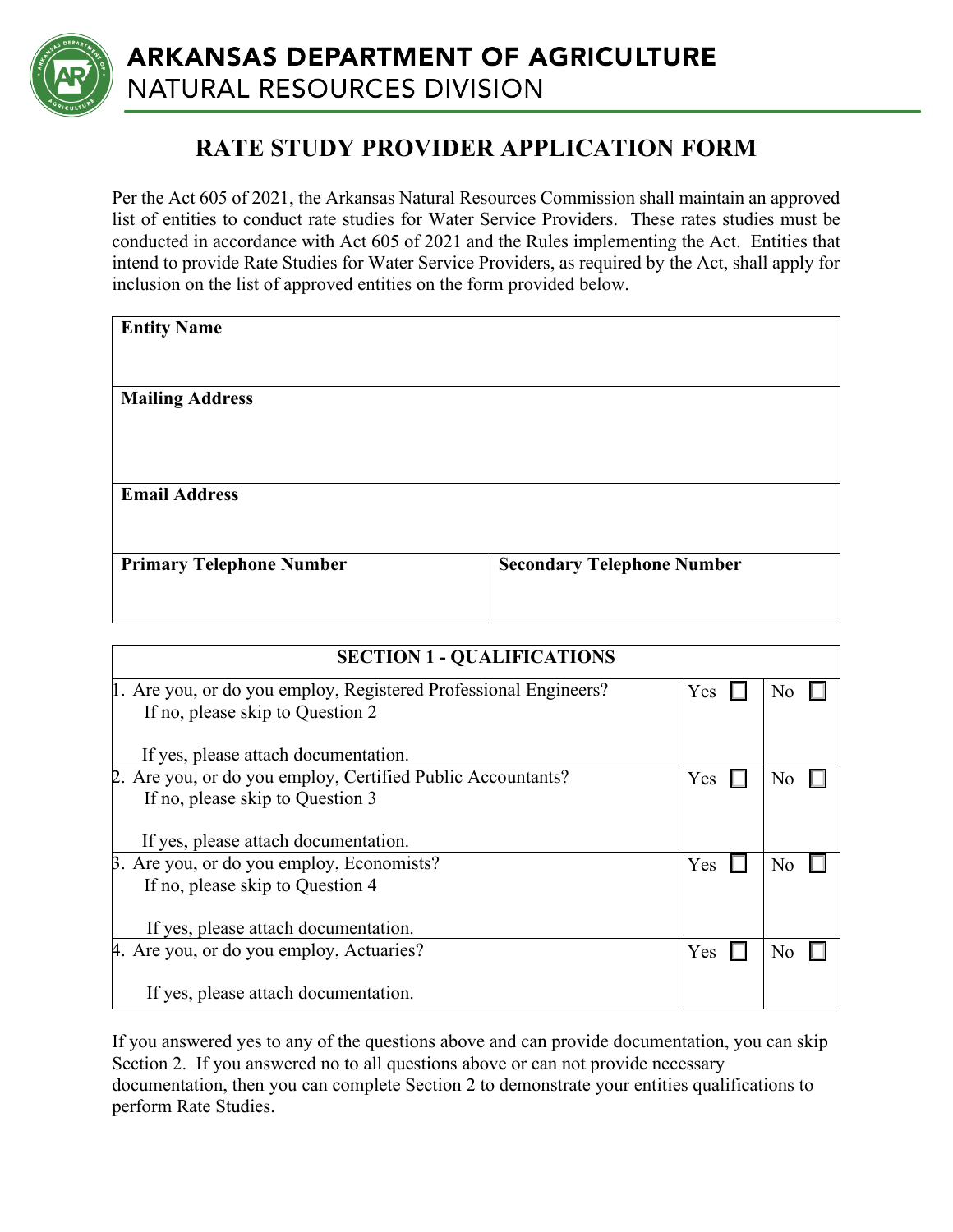

## **RATE STUDY PROVIDER APPLICATION FORM**

Per the Act 605 of 2021, the Arkansas Natural Resources Commission shall maintain an approved list of entities to conduct rate studies for Water Service Providers. These rates studies must be conducted in accordance with Act 605 of 2021 and the Rules implementing the Act. Entities that intend to provide Rate Studies for Water Service Providers, as required by the Act, shall apply for inclusion on the list of approved entities on the form provided below.

| <b>Entity Name</b>              |                                   |
|---------------------------------|-----------------------------------|
|                                 |                                   |
| <b>Mailing Address</b>          |                                   |
|                                 |                                   |
|                                 |                                   |
| <b>Email Address</b>            |                                   |
|                                 |                                   |
| <b>Primary Telephone Number</b> | <b>Secondary Telephone Number</b> |
|                                 |                                   |

| <b>SECTION 1 - QUALIFICATIONS</b>                                |     |    |  |
|------------------------------------------------------------------|-----|----|--|
| 1. Are you, or do you employ, Registered Professional Engineers? |     | No |  |
| If no, please skip to Question 2                                 |     |    |  |
| If yes, please attach documentation.                             |     |    |  |
| 2. Are you, or do you employ, Certified Public Accountants?      | Yes |    |  |
| If no, please skip to Question 3                                 |     |    |  |
|                                                                  |     |    |  |
| If yes, please attach documentation.                             |     |    |  |
| β. Are you, or do you employ, Economists?                        | Yes | Nc |  |
| If no, please skip to Question 4                                 |     |    |  |
|                                                                  |     |    |  |
| If yes, please attach documentation.                             |     |    |  |
| 4. Are you, or do you employ, Actuaries?                         | Yes |    |  |
|                                                                  |     |    |  |
| If yes, please attach documentation.                             |     |    |  |

If you answered yes to any of the questions above and can provide documentation, you can skip Section 2. If you answered no to all questions above or can not provide necessary documentation, then you can complete Section 2 to demonstrate your entities qualifications to perform Rate Studies.